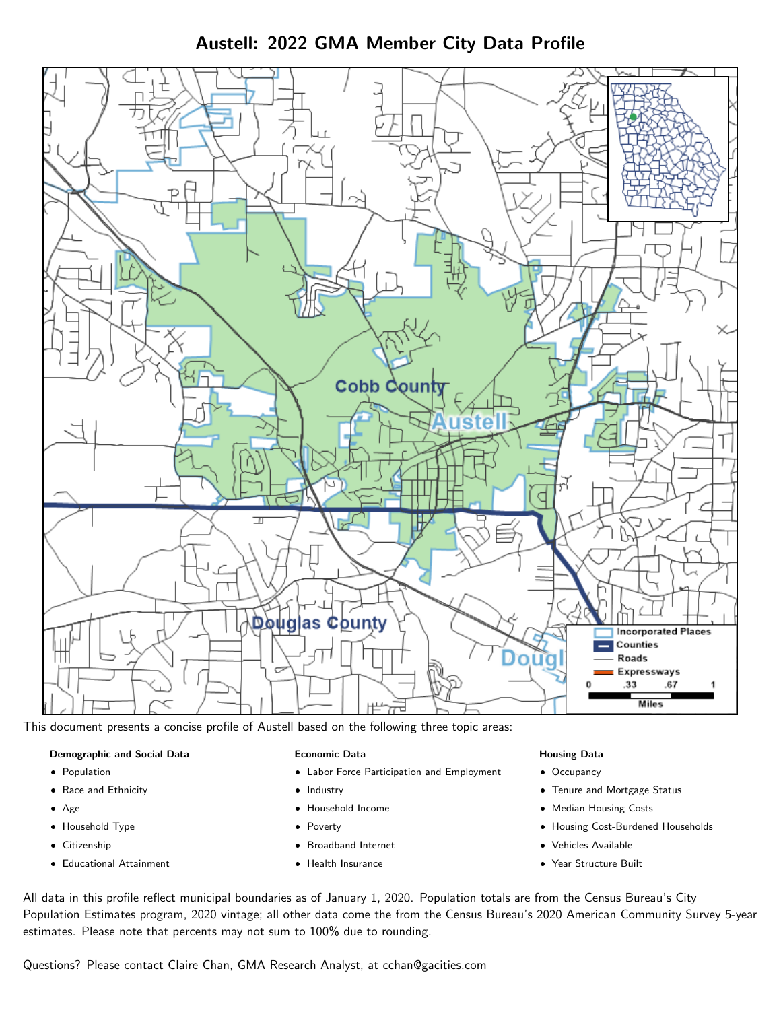Austell: 2022 GMA Member City Data Profile



This document presents a concise profile of Austell based on the following three topic areas:

## Demographic and Social Data

- **•** Population
- Race and Ethnicity
- Age
- Household Type
- **Citizenship**
- Educational Attainment

### Economic Data

- Labor Force Participation and Employment
- Industry
- Household Income
- Poverty
- Broadband Internet
- Health Insurance

### Housing Data

- Occupancy
- Tenure and Mortgage Status
- Median Housing Costs
- Housing Cost-Burdened Households
- Vehicles Available
- Year Structure Built

All data in this profile reflect municipal boundaries as of January 1, 2020. Population totals are from the Census Bureau's City Population Estimates program, 2020 vintage; all other data come the from the Census Bureau's 2020 American Community Survey 5-year estimates. Please note that percents may not sum to 100% due to rounding.

Questions? Please contact Claire Chan, GMA Research Analyst, at [cchan@gacities.com.](mailto:cchan@gacities.com)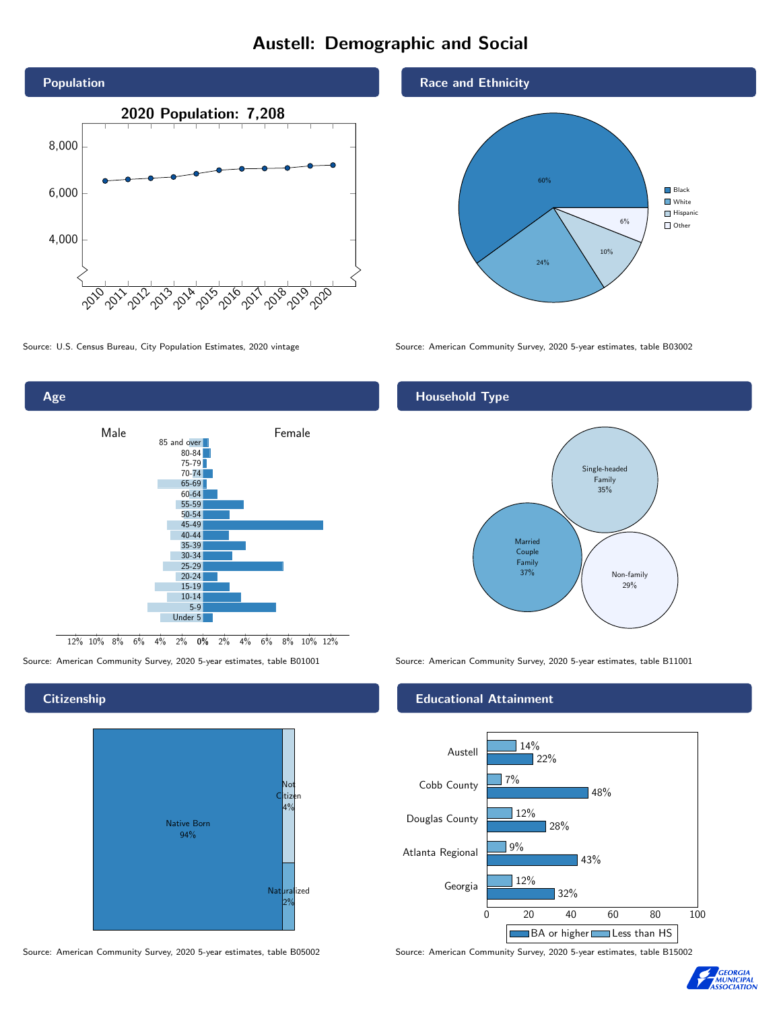# Austell: Demographic and Social





### **Citizenship**



Source: American Community Survey, 2020 5-year estimates, table B05002 Source: American Community Survey, 2020 5-year estimates, table B15002





Source: U.S. Census Bureau, City Population Estimates, 2020 vintage Source: American Community Survey, 2020 5-year estimates, table B03002

## Household Type



Source: American Community Survey, 2020 5-year estimates, table B01001 Source: American Community Survey, 2020 5-year estimates, table B11001

### Educational Attainment



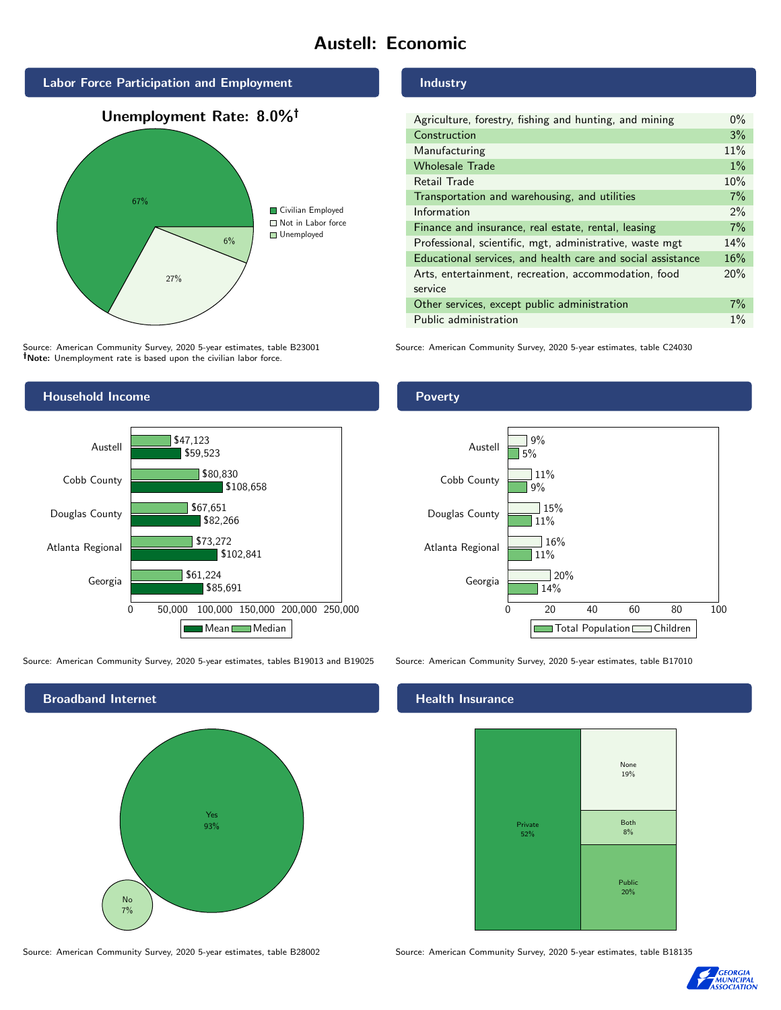# Austell: Economic







Source: American Community Survey, 2020 5-year estimates, table B23001 Note: Unemployment rate is based upon the civilian labor force.

## Industry

| Agriculture, forestry, fishing and hunting, and mining      | $0\%$ |
|-------------------------------------------------------------|-------|
| Construction                                                | 3%    |
| Manufacturing                                               | 11%   |
| <b>Wholesale Trade</b>                                      | $1\%$ |
| Retail Trade                                                | 10%   |
| Transportation and warehousing, and utilities               | 7%    |
| Information                                                 | 2%    |
| Finance and insurance, real estate, rental, leasing         | 7%    |
| Professional, scientific, mgt, administrative, waste mgt    | 14%   |
| Educational services, and health care and social assistance | 16%   |
| Arts, entertainment, recreation, accommodation, food        | 20%   |
| service                                                     |       |
| Other services, except public administration                | $7\%$ |
| Public administration                                       | $1\%$ |

Source: American Community Survey, 2020 5-year estimates, table C24030



Source: American Community Survey, 2020 5-year estimates, tables B19013 and B19025 Source: American Community Survey, 2020 5-year estimates, table B17010



#### Health Insurance



Source: American Community Survey, 2020 5-year estimates, table B28002 Source: American Community Survey, 2020 5-year estimates, table B18135